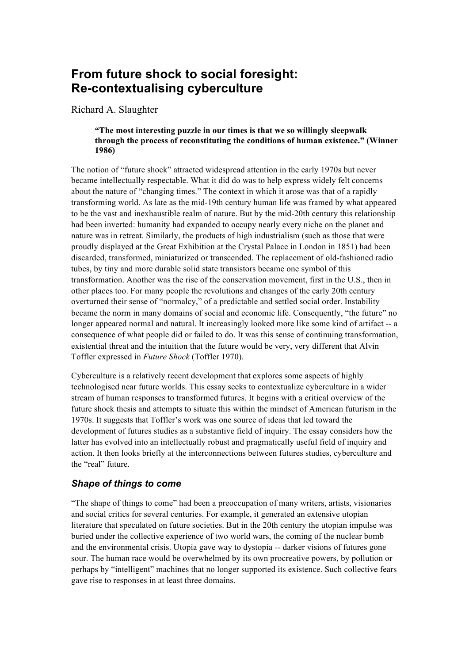# **From future shock to social foresight: Re-contextualising cyberculture**

Richard A. Slaughter

#### **"The most interesting puzzle in our times is that we so willingly sleepwalk through the process of reconstituting the conditions of human existence." (Winner 1986)**

The notion of "future shock" attracted widespread attention in the early 1970s but never became intellectually respectable. What it did do was to help express widely felt concerns about the nature of "changing times." The context in which it arose was that of a rapidly transforming world. As late as the mid-19th century human life was framed by what appeared to be the vast and inexhaustible realm of nature. But by the mid-20th century this relationship had been inverted: humanity had expanded to occupy nearly every niche on the planet and nature was in retreat. Similarly, the products of high industrialism (such as those that were proudly displayed at the Great Exhibition at the Crystal Palace in London in 1851) had been discarded, transformed, miniaturized or transcended. The replacement of old-fashioned radio tubes, by tiny and more durable solid state transistors became one symbol of this transformation. Another was the rise of the conservation movement, first in the U.S., then in other places too. For many people the revolutions and changes of the early 20th century overturned their sense of "normalcy," of a predictable and settled social order. Instability became the norm in many domains of social and economic life. Consequently, "the future" no longer appeared normal and natural. It increasingly looked more like some kind of artifact -- a consequence of what people did or failed to do. It was this sense of continuing transformation, existential threat and the intuition that the future would be very, very different that Alvin Toffler expressed in *Future Shock* (Toffler 1970).

Cyberculture is a relatively recent development that explores some aspects of highly technologised near future worlds. This essay seeks to contextualize cyberculture in a wider stream of human responses to transformed futures. It begins with a critical overview of the future shock thesis and attempts to situate this within the mindset of American futurism in the 1970s. It suggests that Toffler's work was one source of ideas that led toward the development of futures studies as a substantive field of inquiry. The essay considers how the latter has evolved into an intellectually robust and pragmatically useful field of inquiry and action. It then looks briefly at the interconnections between futures studies, cyberculture and the "real" future.

# *Shape of things to come*

"The shape of things to come" had been a preoccupation of many writers, artists, visionaries and social critics for several centuries. For example, it generated an extensive utopian literature that speculated on future societies. But in the 20th century the utopian impulse was buried under the collective experience of two world wars, the coming of the nuclear bomb and the environmental crisis. Utopia gave way to dystopia -- darker visions of futures gone sour. The human race would be overwhelmed by its own procreative powers, by pollution or perhaps by "intelligent" machines that no longer supported its existence. Such collective fears gave rise to responses in at least three domains.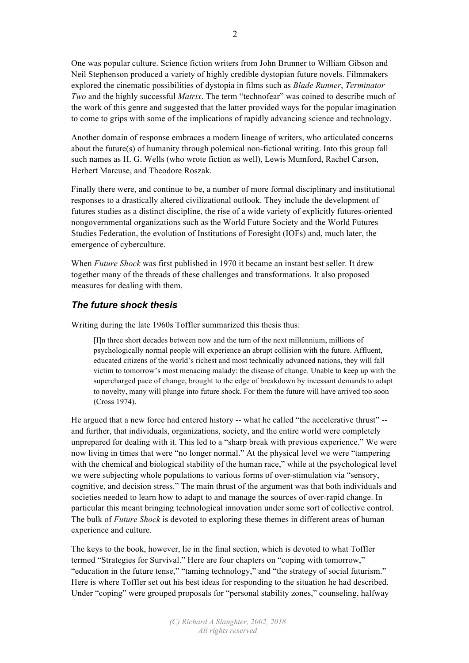One was popular culture. Science fiction writers from John Brunner to William Gibson and Neil Stephenson produced a variety of highly credible dystopian future novels. Filmmakers explored the cinematic possibilities of dystopia in films such as *Blade Runner*, *Terminator Two* and the highly successful *Matrix*. The term "technofear" was coined to describe much of the work of this genre and suggested that the latter provided ways for the popular imagination to come to grips with some of the implications of rapidly advancing science and technology.

Another domain of response embraces a modern lineage of writers, who articulated concerns about the future(s) of humanity through polemical non-fictional writing. Into this group fall such names as H. G. Wells (who wrote fiction as well), Lewis Mumford, Rachel Carson, Herbert Marcuse, and Theodore Roszak.

Finally there were, and continue to be, a number of more formal disciplinary and institutional responses to a drastically altered civilizational outlook. They include the development of futures studies as a distinct discipline, the rise of a wide variety of explicitly futures-oriented nongovernmental organizations such as the World Future Society and the World Futures Studies Federation, the evolution of Institutions of Foresight (IOFs) and, much later, the emergence of cyberculture.

When *Future Shock* was first published in 1970 it became an instant best seller. It drew together many of the threads of these challenges and transformations. It also proposed measures for dealing with them.

#### *The future shock thesis*

Writing during the late 1960s Toffler summarized this thesis thus:

[I]n three short decades between now and the turn of the next millennium, millions of psychologically normal people will experience an abrupt collision with the future. Affluent, educated citizens of the world's richest and most technically advanced nations, they will fall victim to tomorrow's most menacing malady: the disease of change. Unable to keep up with the supercharged pace of change, brought to the edge of breakdown by incessant demands to adapt to novelty, many will plunge into future shock. For them the future will have arrived too soon (Cross 1974).

He argued that a new force had entered history -- what he called "the accelerative thrust" - and further, that individuals, organizations, society, and the entire world were completely unprepared for dealing with it. This led to a "sharp break with previous experience." We were now living in times that were "no longer normal." At the physical level we were "tampering with the chemical and biological stability of the human race," while at the psychological level we were subjecting whole populations to various forms of over-stimulation via "sensory, cognitive, and decision stress." The main thrust of the argument was that both individuals and societies needed to learn how to adapt to and manage the sources of over-rapid change. In particular this meant bringing technological innovation under some sort of collective control. The bulk of *Future Shock* is devoted to exploring these themes in different areas of human experience and culture.

The keys to the book, however, lie in the final section, which is devoted to what Toffler termed "Strategies for Survival." Here are four chapters on "coping with tomorrow," "education in the future tense," "taming technology," and "the strategy of social futurism." Here is where Toffler set out his best ideas for responding to the situation he had described. Under "coping" were grouped proposals for "personal stability zones," counseling, halfway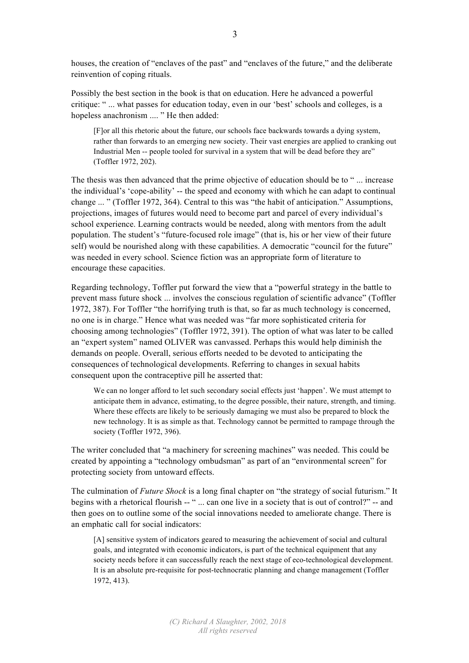houses, the creation of "enclaves of the past" and "enclaves of the future," and the deliberate reinvention of coping rituals.

Possibly the best section in the book is that on education. Here he advanced a powerful critique: " ... what passes for education today, even in our 'best' schools and colleges, is a hopeless anachronism .... " He then added:

[F]or all this rhetoric about the future, our schools face backwards towards a dying system, rather than forwards to an emerging new society. Their vast energies are applied to cranking out Industrial Men -- people tooled for survival in a system that will be dead before they are" (Toffler 1972, 202).

The thesis was then advanced that the prime objective of education should be to " ... increase the individual's 'cope-ability' -- the speed and economy with which he can adapt to continual change ... " (Toffler 1972, 364). Central to this was "the habit of anticipation." Assumptions, projections, images of futures would need to become part and parcel of every individual's school experience. Learning contracts would be needed, along with mentors from the adult population. The student's "future-focused role image" (that is, his or her view of their future self) would be nourished along with these capabilities. A democratic "council for the future" was needed in every school. Science fiction was an appropriate form of literature to encourage these capacities.

Regarding technology, Toffler put forward the view that a "powerful strategy in the battle to prevent mass future shock ... involves the conscious regulation of scientific advance" (Toffler 1972, 387). For Toffler "the horrifying truth is that, so far as much technology is concerned, no one is in charge." Hence what was needed was "far more sophisticated criteria for choosing among technologies" (Toffler 1972, 391). The option of what was later to be called an "expert system" named OLIVER was canvassed. Perhaps this would help diminish the demands on people. Overall, serious efforts needed to be devoted to anticipating the consequences of technological developments. Referring to changes in sexual habits consequent upon the contraceptive pill he asserted that:

We can no longer afford to let such secondary social effects just 'happen'. We must attempt to anticipate them in advance, estimating, to the degree possible, their nature, strength, and timing. Where these effects are likely to be seriously damaging we must also be prepared to block the new technology. It is as simple as that. Technology cannot be permitted to rampage through the society (Toffler 1972, 396).

The writer concluded that "a machinery for screening machines" was needed. This could be created by appointing a "technology ombudsman" as part of an "environmental screen" for protecting society from untoward effects.

The culmination of *Future Shock* is a long final chapter on "the strategy of social futurism." It begins with a rhetorical flourish -- " ... can one live in a society that is out of control?" -- and then goes on to outline some of the social innovations needed to ameliorate change. There is an emphatic call for social indicators:

[A] sensitive system of indicators geared to measuring the achievement of social and cultural goals, and integrated with economic indicators, is part of the technical equipment that any society needs before it can successfully reach the next stage of eco-technological development. It is an absolute pre-requisite for post-technocratic planning and change management (Toffler 1972, 413).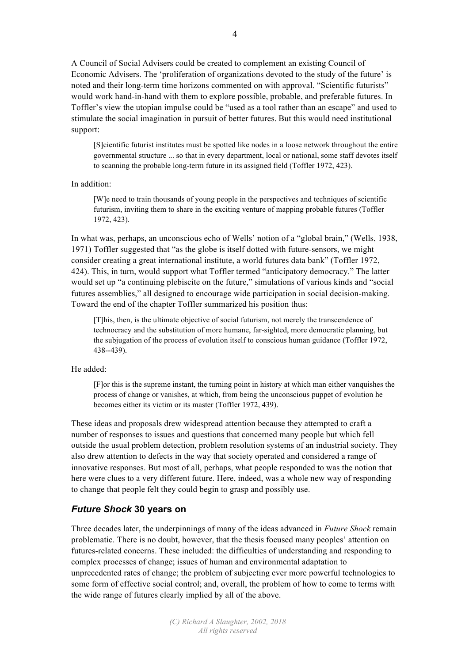A Council of Social Advisers could be created to complement an existing Council of Economic Advisers. The 'proliferation of organizations devoted to the study of the future' is noted and their long-term time horizons commented on with approval. "Scientific futurists" would work hand-in-hand with them to explore possible, probable, and preferable futures. In Toffler's view the utopian impulse could be "used as a tool rather than an escape" and used to stimulate the social imagination in pursuit of better futures. But this would need institutional support:

[S]cientific futurist institutes must be spotted like nodes in a loose network throughout the entire governmental structure ... so that in every department, local or national, some staff devotes itself to scanning the probable long-term future in its assigned field (Toffler 1972, 423).

In addition:

[W]e need to train thousands of young people in the perspectives and techniques of scientific futurism, inviting them to share in the exciting venture of mapping probable futures (Toffler 1972, 423).

In what was, perhaps, an unconscious echo of Wells' notion of a "global brain," (Wells, 1938, 1971) Toffler suggested that "as the globe is itself dotted with future-sensors, we might consider creating a great international institute, a world futures data bank" (Toffler 1972, 424). This, in turn, would support what Toffler termed "anticipatory democracy." The latter would set up "a continuing plebiscite on the future," simulations of various kinds and "social futures assemblies," all designed to encourage wide participation in social decision-making. Toward the end of the chapter Toffler summarized his position thus:

[T]his, then, is the ultimate objective of social futurism, not merely the transcendence of technocracy and the substitution of more humane, far-sighted, more democratic planning, but the subjugation of the process of evolution itself to conscious human guidance (Toffler 1972, 438--439).

He added:

[F]or this is the supreme instant, the turning point in history at which man either vanquishes the process of change or vanishes, at which, from being the unconscious puppet of evolution he becomes either its victim or its master (Toffler 1972, 439).

These ideas and proposals drew widespread attention because they attempted to craft a number of responses to issues and questions that concerned many people but which fell outside the usual problem detection, problem resolution systems of an industrial society. They also drew attention to defects in the way that society operated and considered a range of innovative responses. But most of all, perhaps, what people responded to was the notion that here were clues to a very different future. Here, indeed, was a whole new way of responding to change that people felt they could begin to grasp and possibly use.

#### *Future Shock* **30 years on**

Three decades later, the underpinnings of many of the ideas advanced in *Future Shock* remain problematic. There is no doubt, however, that the thesis focused many peoples' attention on futures-related concerns. These included: the difficulties of understanding and responding to complex processes of change; issues of human and environmental adaptation to unprecedented rates of change; the problem of subjecting ever more powerful technologies to some form of effective social control; and, overall, the problem of how to come to terms with the wide range of futures clearly implied by all of the above.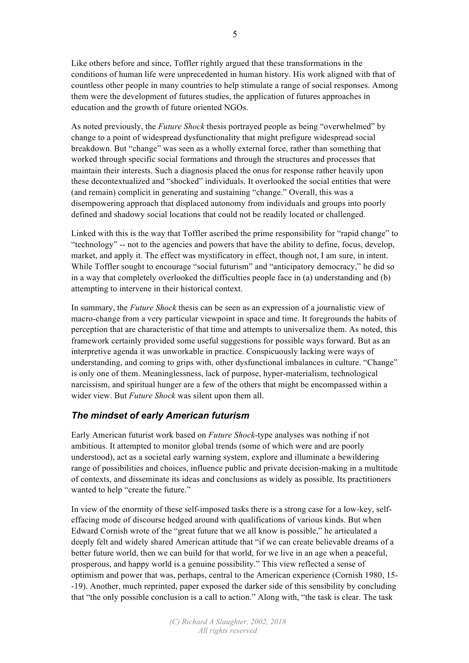Like others before and since, Toffler rightly argued that these transformations in the conditions of human life were unprecedented in human history. His work aligned with that of countless other people in many countries to help stimulate a range of social responses. Among them were the development of futures studies, the application of futures approaches in education and the growth of future oriented NGOs.

As noted previously, the *Future Shock* thesis portrayed people as being "overwhelmed" by change to a point of widespread dysfunctionality that might prefigure widespread social breakdown. But "change" was seen as a wholly external force, rather than something that worked through specific social formations and through the structures and processes that maintain their interests. Such a diagnosis placed the onus for response rather heavily upon these decontextualized and "shocked" individuals. It overlooked the social entities that were (and remain) complicit in generating and sustaining "change." Overall, this was a disempowering approach that displaced autonomy from individuals and groups into poorly defined and shadowy social locations that could not be readily located or challenged.

Linked with this is the way that Toffler ascribed the prime responsibility for "rapid change" to "technology" -- not to the agencies and powers that have the ability to define, focus, develop, market, and apply it. The effect was mystificatory in effect, though not, I am sure, in intent. While Toffler sought to encourage "social futurism" and "anticipatory democracy," he did so in a way that completely overlooked the difficulties people face in (a) understanding and (b) attempting to intervene in their historical context.

In summary, the *Future Shock* thesis can be seen as an expression of a journalistic view of macro-change from a very particular viewpoint in space and time. It foregrounds the habits of perception that are characteristic of that time and attempts to universalize them. As noted, this framework certainly provided some useful suggestions for possible ways forward. But as an interpretive agenda it was unworkable in practice. Conspicuously lacking were ways of understanding, and coming to grips with, other dysfunctional imbalances in culture. "Change" is only one of them. Meaninglessness, lack of purpose, hyper-materialism, technological narcissism, and spiritual hunger are a few of the others that might be encompassed within a wider view. But *Future Shock* was silent upon them all.

# *The mindset of early American futurism*

Early American futurist work based on *Future Shock*-type analyses was nothing if not ambitious. It attempted to monitor global trends (some of which were and are poorly understood), act as a societal early warning system, explore and illuminate a bewildering range of possibilities and choices, influence public and private decision-making in a multitude of contexts, and disseminate its ideas and conclusions as widely as possible. Its practitioners wanted to help "create the future."

In view of the enormity of these self-imposed tasks there is a strong case for a low-key, selfeffacing mode of discourse hedged around with qualifications of various kinds. But when Edward Cornish wrote of the "great future that we all know is possible," he articulated a deeply felt and widely shared American attitude that "if we can create believable dreams of a better future world, then we can build for that world, for we live in an age when a peaceful, prosperous, and happy world is a genuine possibility." This view reflected a sense of optimism and power that was, perhaps, central to the American experience (Cornish 1980, 15- -19). Another, much reprinted, paper exposed the darker side of this sensibility by concluding that "the only possible conclusion is a call to action." Along with, "the task is clear. The task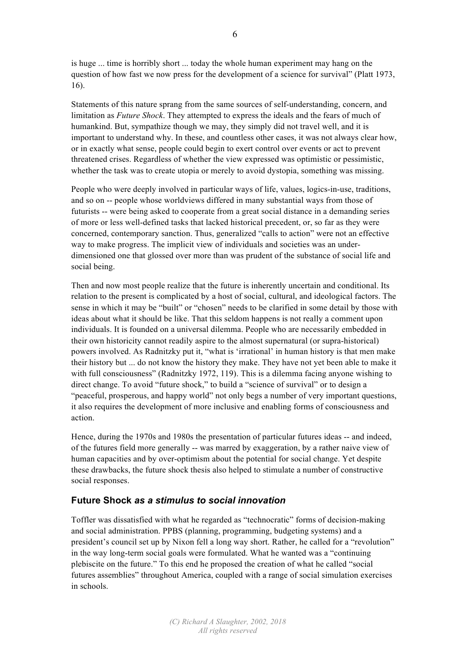is huge ... time is horribly short ... today the whole human experiment may hang on the question of how fast we now press for the development of a science for survival" (Platt 1973, 16).

Statements of this nature sprang from the same sources of self-understanding, concern, and limitation as *Future Shock*. They attempted to express the ideals and the fears of much of humankind. But, sympathize though we may, they simply did not travel well, and it is important to understand why. In these, and countless other cases, it was not always clear how, or in exactly what sense, people could begin to exert control over events or act to prevent threatened crises. Regardless of whether the view expressed was optimistic or pessimistic, whether the task was to create utopia or merely to avoid dystopia, something was missing.

People who were deeply involved in particular ways of life, values, logics-in-use, traditions, and so on -- people whose worldviews differed in many substantial ways from those of futurists -- were being asked to cooperate from a great social distance in a demanding series of more or less well-defined tasks that lacked historical precedent, or, so far as they were concerned, contemporary sanction. Thus, generalized "calls to action" were not an effective way to make progress. The implicit view of individuals and societies was an underdimensioned one that glossed over more than was prudent of the substance of social life and social being.

Then and now most people realize that the future is inherently uncertain and conditional. Its relation to the present is complicated by a host of social, cultural, and ideological factors. The sense in which it may be "built" or "chosen" needs to be clarified in some detail by those with ideas about what it should be like. That this seldom happens is not really a comment upon individuals. It is founded on a universal dilemma. People who are necessarily embedded in their own historicity cannot readily aspire to the almost supernatural (or supra-historical) powers involved. As Radnitzky put it, "what is 'irrational' in human history is that men make their history but ... do not know the history they make. They have not yet been able to make it with full consciousness" (Radnitzky 1972, 119). This is a dilemma facing anyone wishing to direct change. To avoid "future shock," to build a "science of survival" or to design a "peaceful, prosperous, and happy world" not only begs a number of very important questions, it also requires the development of more inclusive and enabling forms of consciousness and action.

Hence, during the 1970s and 1980s the presentation of particular futures ideas -- and indeed, of the futures field more generally -- was marred by exaggeration, by a rather naive view of human capacities and by over-optimism about the potential for social change. Yet despite these drawbacks, the future shock thesis also helped to stimulate a number of constructive social responses.

#### **Future Shock** *as a stimulus to social innovation*

Toffler was dissatisfied with what he regarded as "technocratic" forms of decision-making and social administration. PPBS (planning, programming, budgeting systems) and a president's council set up by Nixon fell a long way short. Rather, he called for a "revolution" in the way long-term social goals were formulated. What he wanted was a "continuing plebiscite on the future." To this end he proposed the creation of what he called "social futures assemblies" throughout America, coupled with a range of social simulation exercises in schools.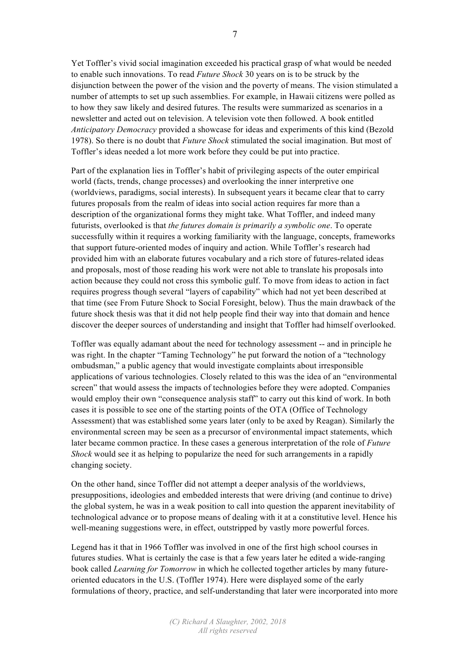Yet Toffler's vivid social imagination exceeded his practical grasp of what would be needed to enable such innovations. To read *Future Shock* 30 years on is to be struck by the disjunction between the power of the vision and the poverty of means. The vision stimulated a number of attempts to set up such assemblies. For example, in Hawaii citizens were polled as to how they saw likely and desired futures. The results were summarized as scenarios in a newsletter and acted out on television. A television vote then followed. A book entitled *Anticipatory Democracy* provided a showcase for ideas and experiments of this kind (Bezold 1978). So there is no doubt that *Future Shock* stimulated the social imagination. But most of Toffler's ideas needed a lot more work before they could be put into practice.

Part of the explanation lies in Toffler's habit of privileging aspects of the outer empirical world (facts, trends, change processes) and overlooking the inner interpretive one (worldviews, paradigms, social interests). In subsequent years it became clear that to carry futures proposals from the realm of ideas into social action requires far more than a description of the organizational forms they might take. What Toffler, and indeed many futurists, overlooked is that *the futures domain is primarily a symbolic one*. To operate successfully within it requires a working familiarity with the language, concepts, frameworks that support future-oriented modes of inquiry and action. While Toffler's research had provided him with an elaborate futures vocabulary and a rich store of futures-related ideas and proposals, most of those reading his work were not able to translate his proposals into action because they could not cross this symbolic gulf. To move from ideas to action in fact requires progress though several "layers of capability" which had not yet been described at that time (see From Future Shock to Social Foresight, below). Thus the main drawback of the future shock thesis was that it did not help people find their way into that domain and hence discover the deeper sources of understanding and insight that Toffler had himself overlooked.

Toffler was equally adamant about the need for technology assessment -- and in principle he was right. In the chapter "Taming Technology" he put forward the notion of a "technology ombudsman," a public agency that would investigate complaints about irresponsible applications of various technologies. Closely related to this was the idea of an "environmental screen" that would assess the impacts of technologies before they were adopted. Companies would employ their own "consequence analysis staff" to carry out this kind of work. In both cases it is possible to see one of the starting points of the OTA (Office of Technology Assessment) that was established some years later (only to be axed by Reagan). Similarly the environmental screen may be seen as a precursor of environmental impact statements, which later became common practice. In these cases a generous interpretation of the role of *Future Shock* would see it as helping to popularize the need for such arrangements in a rapidly changing society.

On the other hand, since Toffler did not attempt a deeper analysis of the worldviews, presuppositions, ideologies and embedded interests that were driving (and continue to drive) the global system, he was in a weak position to call into question the apparent inevitability of technological advance or to propose means of dealing with it at a constitutive level. Hence his well-meaning suggestions were, in effect, outstripped by vastly more powerful forces.

Legend has it that in 1966 Toffler was involved in one of the first high school courses in futures studies. What is certainly the case is that a few years later he edited a wide-ranging book called *Learning for Tomorrow* in which he collected together articles by many futureoriented educators in the U.S. (Toffler 1974). Here were displayed some of the early formulations of theory, practice, and self-understanding that later were incorporated into more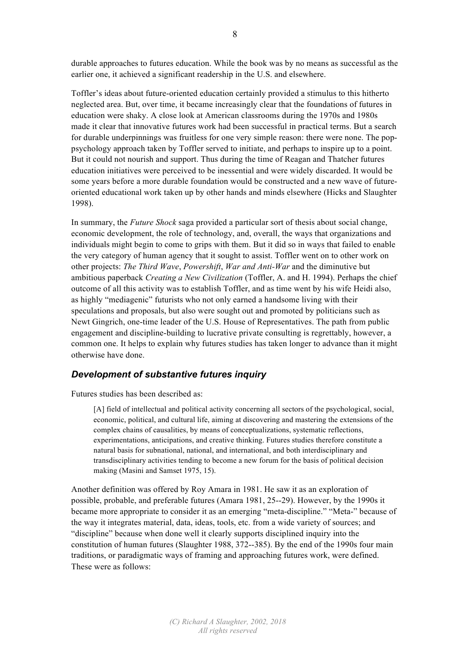durable approaches to futures education. While the book was by no means as successful as the earlier one, it achieved a significant readership in the U.S. and elsewhere.

Toffler's ideas about future-oriented education certainly provided a stimulus to this hitherto neglected area. But, over time, it became increasingly clear that the foundations of futures in education were shaky. A close look at American classrooms during the 1970s and 1980s made it clear that innovative futures work had been successful in practical terms. But a search for durable underpinnings was fruitless for one very simple reason: there were none. The poppsychology approach taken by Toffler served to initiate, and perhaps to inspire up to a point. But it could not nourish and support. Thus during the time of Reagan and Thatcher futures education initiatives were perceived to be inessential and were widely discarded. It would be some years before a more durable foundation would be constructed and a new wave of futureoriented educational work taken up by other hands and minds elsewhere (Hicks and Slaughter 1998).

In summary, the *Future Shock* saga provided a particular sort of thesis about social change, economic development, the role of technology, and, overall, the ways that organizations and individuals might begin to come to grips with them. But it did so in ways that failed to enable the very category of human agency that it sought to assist. Toffler went on to other work on other projects: *The Third Wave*, *Powershift*, *War and Anti-War* and the diminutive but ambitious paperback *Creating a New Civilization* (Toffler, A. and H. 1994). Perhaps the chief outcome of all this activity was to establish Toffler, and as time went by his wife Heidi also, as highly "mediagenic" futurists who not only earned a handsome living with their speculations and proposals, but also were sought out and promoted by politicians such as Newt Gingrich, one-time leader of the U.S. House of Representatives. The path from public engagement and discipline-building to lucrative private consulting is regrettably, however, a common one. It helps to explain why futures studies has taken longer to advance than it might otherwise have done.

### *Development of substantive futures inquiry*

Futures studies has been described as:

[A] field of intellectual and political activity concerning all sectors of the psychological, social, economic, political, and cultural life, aiming at discovering and mastering the extensions of the complex chains of causalities, by means of conceptualizations, systematic reflections, experimentations, anticipations, and creative thinking. Futures studies therefore constitute a natural basis for subnational, national, and international, and both interdisciplinary and transdisciplinary activities tending to become a new forum for the basis of political decision making (Masini and Samset 1975, 15).

Another definition was offered by Roy Amara in 1981. He saw it as an exploration of possible, probable, and preferable futures (Amara 1981, 25--29). However, by the 1990s it became more appropriate to consider it as an emerging "meta-discipline." "Meta-" because of the way it integrates material, data, ideas, tools, etc. from a wide variety of sources; and "discipline" because when done well it clearly supports disciplined inquiry into the constitution of human futures (Slaughter 1988, 372--385). By the end of the 1990s four main traditions, or paradigmatic ways of framing and approaching futures work, were defined. These were as follows: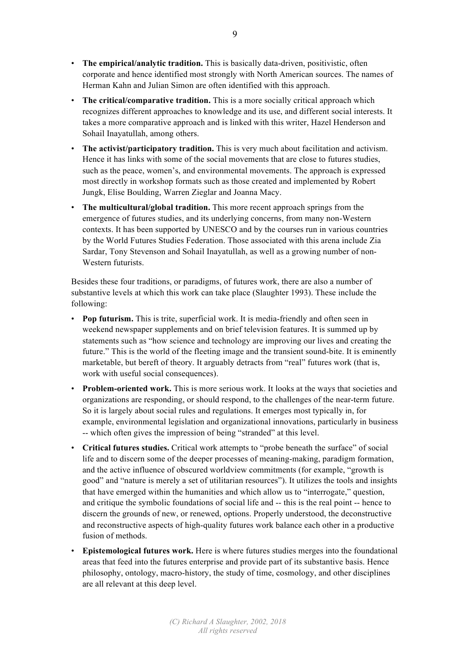- **The empirical/analytic tradition.** This is basically data-driven, positivistic, often corporate and hence identified most strongly with North American sources. The names of Herman Kahn and Julian Simon are often identified with this approach.
- **The critical/comparative tradition.** This is a more socially critical approach which recognizes different approaches to knowledge and its use, and different social interests. It takes a more comparative approach and is linked with this writer, Hazel Henderson and Sohail Inayatullah, among others.
- **The activist/participatory tradition.** This is very much about facilitation and activism. Hence it has links with some of the social movements that are close to futures studies, such as the peace, women's, and environmental movements. The approach is expressed most directly in workshop formats such as those created and implemented by Robert Jungk, Elise Boulding, Warren Zieglar and Joanna Macy.
- **The multicultural/global tradition.** This more recent approach springs from the emergence of futures studies, and its underlying concerns, from many non-Western contexts. It has been supported by UNESCO and by the courses run in various countries by the World Futures Studies Federation. Those associated with this arena include Zia Sardar, Tony Stevenson and Sohail Inayatullah, as well as a growing number of non-Western futurists.

Besides these four traditions, or paradigms, of futures work, there are also a number of substantive levels at which this work can take place (Slaughter 1993). These include the following:

- **Pop futurism.** This is trite, superficial work. It is media-friendly and often seen in weekend newspaper supplements and on brief television features. It is summed up by statements such as "how science and technology are improving our lives and creating the future." This is the world of the fleeting image and the transient sound-bite. It is eminently marketable, but bereft of theory. It arguably detracts from "real" futures work (that is, work with useful social consequences).
- **Problem-oriented work.** This is more serious work. It looks at the ways that societies and organizations are responding, or should respond, to the challenges of the near-term future. So it is largely about social rules and regulations. It emerges most typically in, for example, environmental legislation and organizational innovations, particularly in business -- which often gives the impression of being "stranded" at this level.
- **Critical futures studies.** Critical work attempts to "probe beneath the surface" of social life and to discern some of the deeper processes of meaning-making, paradigm formation, and the active influence of obscured worldview commitments (for example, "growth is good" and "nature is merely a set of utilitarian resources"). It utilizes the tools and insights that have emerged within the humanities and which allow us to "interrogate," question, and critique the symbolic foundations of social life and -- this is the real point -- hence to discern the grounds of new, or renewed, options. Properly understood, the deconstructive and reconstructive aspects of high-quality futures work balance each other in a productive fusion of methods.
- **Epistemological futures work.** Here is where futures studies merges into the foundational areas that feed into the futures enterprise and provide part of its substantive basis. Hence philosophy, ontology, macro-history, the study of time, cosmology, and other disciplines are all relevant at this deep level.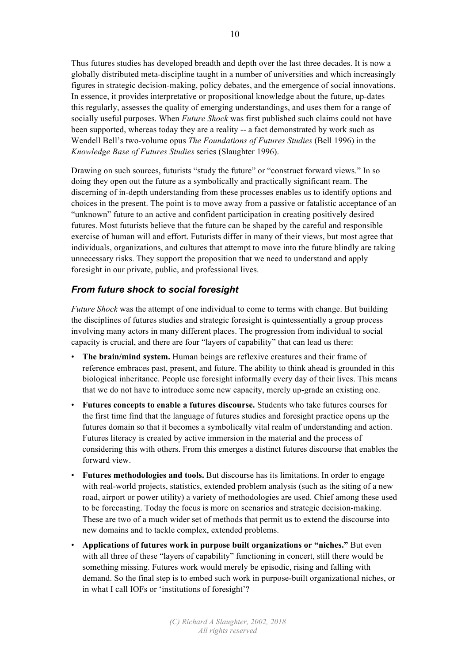Thus futures studies has developed breadth and depth over the last three decades. It is now a globally distributed meta-discipline taught in a number of universities and which increasingly figures in strategic decision-making, policy debates, and the emergence of social innovations. In essence, it provides interpretative or propositional knowledge about the future, up-dates this regularly, assesses the quality of emerging understandings, and uses them for a range of socially useful purposes. When *Future Shock* was first published such claims could not have been supported, whereas today they are a reality -- a fact demonstrated by work such as Wendell Bell's two-volume opus *The Foundations of Futures Studies* (Bell 1996) in the *Knowledge Base of Futures Studies* series (Slaughter 1996).

Drawing on such sources, futurists "study the future" or "construct forward views." In so doing they open out the future as a symbolically and practically significant ream. The discerning of in-depth understanding from these processes enables us to identify options and choices in the present. The point is to move away from a passive or fatalistic acceptance of an "unknown" future to an active and confident participation in creating positively desired futures. Most futurists believe that the future can be shaped by the careful and responsible exercise of human will and effort. Futurists differ in many of their views, but most agree that individuals, organizations, and cultures that attempt to move into the future blindly are taking unnecessary risks. They support the proposition that we need to understand and apply foresight in our private, public, and professional lives.

## *From future shock to social foresight*

*Future Shock* was the attempt of one individual to come to terms with change. But building the disciplines of futures studies and strategic foresight is quintessentially a group process involving many actors in many different places. The progression from individual to social capacity is crucial, and there are four "layers of capability" that can lead us there:

- **The brain/mind system.** Human beings are reflexive creatures and their frame of reference embraces past, present, and future. The ability to think ahead is grounded in this biological inheritance. People use foresight informally every day of their lives. This means that we do not have to introduce some new capacity, merely up-grade an existing one.
- **Futures concepts to enable a futures discourse.** Students who take futures courses for the first time find that the language of futures studies and foresight practice opens up the futures domain so that it becomes a symbolically vital realm of understanding and action. Futures literacy is created by active immersion in the material and the process of considering this with others. From this emerges a distinct futures discourse that enables the forward view.
- **Futures methodologies and tools.** But discourse has its limitations. In order to engage with real-world projects, statistics, extended problem analysis (such as the siting of a new road, airport or power utility) a variety of methodologies are used. Chief among these used to be forecasting. Today the focus is more on scenarios and strategic decision-making. These are two of a much wider set of methods that permit us to extend the discourse into new domains and to tackle complex, extended problems.
- **Applications of futures work in purpose built organizations or "niches."** But even with all three of these "layers of capability" functioning in concert, still there would be something missing. Futures work would merely be episodic, rising and falling with demand. So the final step is to embed such work in purpose-built organizational niches, or in what I call IOFs or 'institutions of foresight'?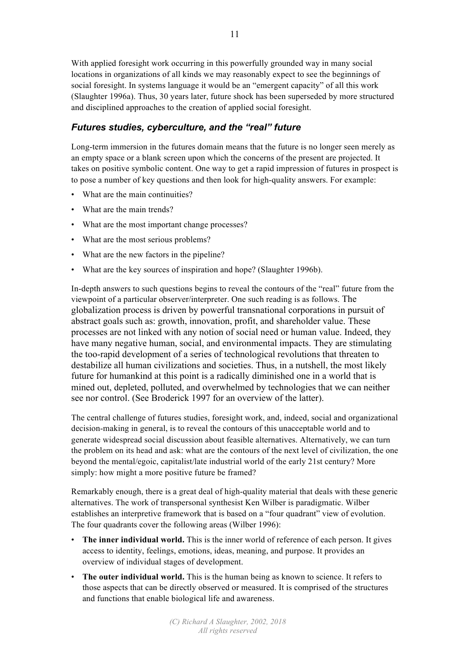With applied foresight work occurring in this powerfully grounded way in many social locations in organizations of all kinds we may reasonably expect to see the beginnings of social foresight. In systems language it would be an "emergent capacity" of all this work (Slaughter 1996a). Thus, 30 years later, future shock has been superseded by more structured and disciplined approaches to the creation of applied social foresight.

# *Futures studies, cyberculture, and the "real" future*

Long-term immersion in the futures domain means that the future is no longer seen merely as an empty space or a blank screen upon which the concerns of the present are projected. It takes on positive symbolic content. One way to get a rapid impression of futures in prospect is to pose a number of key questions and then look for high-quality answers. For example:

- What are the main continuities?
- What are the main trends?
- What are the most important change processes?
- What are the most serious problems?
- What are the new factors in the pipeline?
- What are the key sources of inspiration and hope? (Slaughter 1996b).

In-depth answers to such questions begins to reveal the contours of the "real" future from the viewpoint of a particular observer/interpreter. One such reading is as follows. The globalization process is driven by powerful transnational corporations in pursuit of abstract goals such as: growth, innovation, profit, and shareholder value. These processes are not linked with any notion of social need or human value. Indeed, they have many negative human, social, and environmental impacts. They are stimulating the too-rapid development of a series of technological revolutions that threaten to destabilize all human civilizations and societies. Thus, in a nutshell, the most likely future for humankind at this point is a radically diminished one in a world that is mined out, depleted, polluted, and overwhelmed by technologies that we can neither see nor control. (See Broderick 1997 for an overview of the latter).

The central challenge of futures studies, foresight work, and, indeed, social and organizational decision-making in general, is to reveal the contours of this unacceptable world and to generate widespread social discussion about feasible alternatives. Alternatively, we can turn the problem on its head and ask: what are the contours of the next level of civilization, the one beyond the mental/egoic, capitalist/late industrial world of the early 21st century? More simply: how might a more positive future be framed?

Remarkably enough, there is a great deal of high-quality material that deals with these generic alternatives. The work of transpersonal synthesist Ken Wilber is paradigmatic. Wilber establishes an interpretive framework that is based on a "four quadrant" view of evolution. The four quadrants cover the following areas (Wilber 1996):

- **The inner individual world.** This is the inner world of reference of each person. It gives access to identity, feelings, emotions, ideas, meaning, and purpose. It provides an overview of individual stages of development.
- **The outer individual world.** This is the human being as known to science. It refers to those aspects that can be directly observed or measured. It is comprised of the structures and functions that enable biological life and awareness.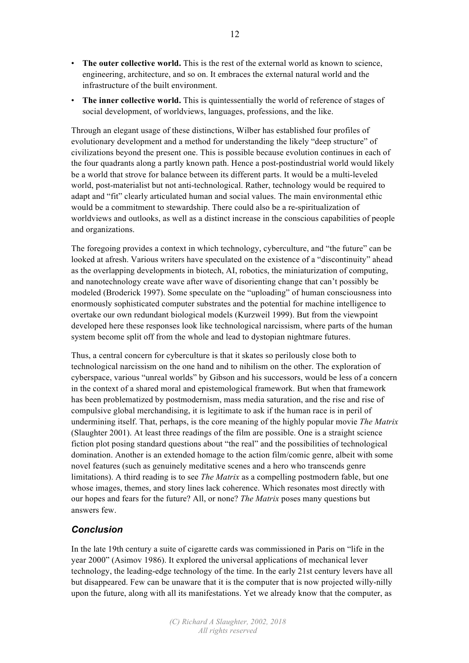- The outer collective world. This is the rest of the external world as known to science, engineering, architecture, and so on. It embraces the external natural world and the infrastructure of the built environment.
- **The inner collective world.** This is quintessentially the world of reference of stages of social development, of worldviews, languages, professions, and the like.

Through an elegant usage of these distinctions, Wilber has established four profiles of evolutionary development and a method for understanding the likely "deep structure" of civilizations beyond the present one. This is possible because evolution continues in each of the four quadrants along a partly known path. Hence a post-postindustrial world would likely be a world that strove for balance between its different parts. It would be a multi-leveled world, post-materialist but not anti-technological. Rather, technology would be required to adapt and "fit" clearly articulated human and social values. The main environmental ethic would be a commitment to stewardship. There could also be a re-spiritualization of worldviews and outlooks, as well as a distinct increase in the conscious capabilities of people and organizations.

The foregoing provides a context in which technology, cyberculture, and "the future" can be looked at afresh. Various writers have speculated on the existence of a "discontinuity" ahead as the overlapping developments in biotech, AI, robotics, the miniaturization of computing, and nanotechnology create wave after wave of disorienting change that can't possibly be modeled (Broderick 1997). Some speculate on the "uploading" of human consciousness into enormously sophisticated computer substrates and the potential for machine intelligence to overtake our own redundant biological models (Kurzweil 1999). But from the viewpoint developed here these responses look like technological narcissism, where parts of the human system become split off from the whole and lead to dystopian nightmare futures.

Thus, a central concern for cyberculture is that it skates so perilously close both to technological narcissism on the one hand and to nihilism on the other. The exploration of cyberspace, various "unreal worlds" by Gibson and his successors, would be less of a concern in the context of a shared moral and epistemological framework. But when that framework has been problematized by postmodernism, mass media saturation, and the rise and rise of compulsive global merchandising, it is legitimate to ask if the human race is in peril of undermining itself. That, perhaps, is the core meaning of the highly popular movie *The Matrix* (Slaughter 2001). At least three readings of the film are possible. One is a straight science fiction plot posing standard questions about "the real" and the possibilities of technological domination. Another is an extended homage to the action film/comic genre, albeit with some novel features (such as genuinely meditative scenes and a hero who transcends genre limitations). A third reading is to see *The Matrix* as a compelling postmodern fable, but one whose images, themes, and story lines lack coherence. Which resonates most directly with our hopes and fears for the future? All, or none? *The Matrix* poses many questions but answers few.

# *Conclusion*

In the late 19th century a suite of cigarette cards was commissioned in Paris on "life in the year 2000" (Asimov 1986). It explored the universal applications of mechanical lever technology, the leading-edge technology of the time. In the early 21st century levers have all but disappeared. Few can be unaware that it is the computer that is now projected willy-nilly upon the future, along with all its manifestations. Yet we already know that the computer, as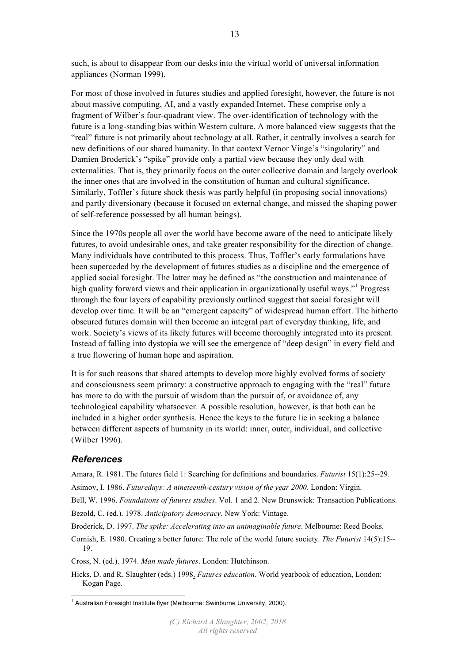such, is about to disappear from our desks into the virtual world of universal information appliances (Norman 1999).

For most of those involved in futures studies and applied foresight, however, the future is not about massive computing, AI, and a vastly expanded Internet. These comprise only a fragment of Wilber's four-quadrant view. The over-identification of technology with the future is a long-standing bias within Western culture. A more balanced view suggests that the "real" future is not primarily about technology at all. Rather, it centrally involves a search for new definitions of our shared humanity. In that context Vernor Vinge's "singularity" and Damien Broderick's "spike" provide only a partial view because they only deal with externalities. That is, they primarily focus on the outer collective domain and largely overlook the inner ones that are involved in the constitution of human and cultural significance. Similarly, Toffler's future shock thesis was partly helpful (in proposing social innovations) and partly diversionary (because it focused on external change, and missed the shaping power of self-reference possessed by all human beings).

Since the 1970s people all over the world have become aware of the need to anticipate likely futures, to avoid undesirable ones, and take greater responsibility for the direction of change. Many individuals have contributed to this process. Thus, Toffler's early formulations have been superceded by the development of futures studies as a discipline and the emergence of applied social foresight. The latter may be defined as "the construction and maintenance of high quality forward views and their application in organizationally useful ways."<sup>1</sup> Progress through the four layers of capability previously outlined suggest that social foresight will develop over time. It will be an "emergent capacity" of widespread human effort. The hitherto obscured futures domain will then become an integral part of everyday thinking, life, and work. Society's views of its likely futures will become thoroughly integrated into its present. Instead of falling into dystopia we will see the emergence of "deep design" in every field and a true flowering of human hope and aspiration.

It is for such reasons that shared attempts to develop more highly evolved forms of society and consciousness seem primary: a constructive approach to engaging with the "real" future has more to do with the pursuit of wisdom than the pursuit of, or avoidance of, any technological capability whatsoever. A possible resolution, however, is that both can be included in a higher order synthesis. Hence the keys to the future lie in seeking a balance between different aspects of humanity in its world: inner, outer, individual, and collective (Wilber 1996).

#### *References*

 $\overline{a}$ 

Amara, R. 1981. The futures field 1: Searching for definitions and boundaries. *Futurist* 15(1):25--29.

Asimov, I. 1986. *Futuredays: A nineteenth-century vision of the year 2000*. London: Virgin.

Bell, W. 1996. *Foundations of futures studies*. Vol. 1 and 2. New Brunswick: Transaction Publications.

Bezold, C. (ed.). 1978. *Anticipatory democracy*. New York: Vintage.

Broderick, D. 1997. *The spike: Accelerating into an unimaginable future*. Melbourne: Reed Books.

Cornish, E. 1980. Creating a better future: The role of the world future society. *The Futurist* 14(5):15-- 19.

Cross, N. (ed.). 1974. *Man made futures*. London: Hutchinson.

Hicks, D. and R. Slaughter (eds.) 1998. *Futures education*. World yearbook of education, London: Kogan Page.

<sup>&</sup>lt;sup>1</sup> Australian Foresight Institute flyer (Melbourne: Swinburne University, 2000).